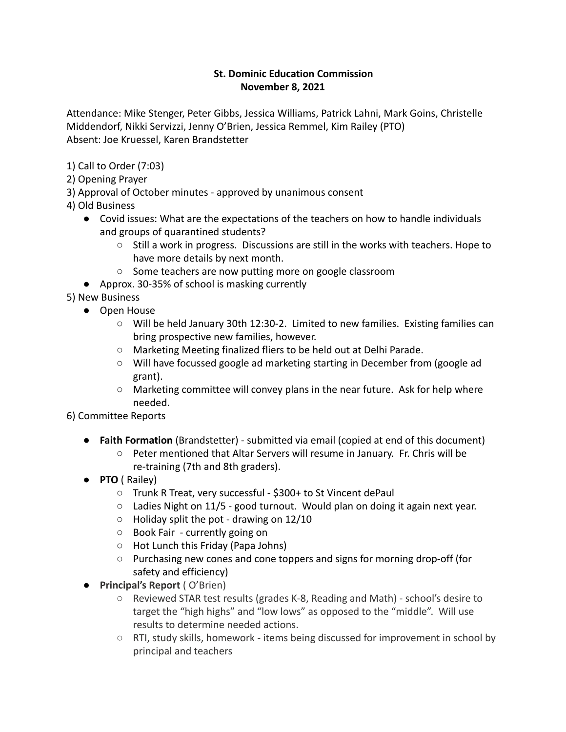# **St. Dominic Education Commission November 8, 2021**

Attendance: Mike Stenger, Peter Gibbs, Jessica Williams, Patrick Lahni, Mark Goins, Christelle Middendorf, Nikki Servizzi, Jenny O'Brien, Jessica Remmel, Kim Railey (PTO) Absent: Joe Kruessel, Karen Brandstetter

1) Call to Order (7:03)

- 2) Opening Prayer
- 3) Approval of October minutes approved by unanimous consent
- 4) Old Business
	- Covid issues: What are the expectations of the teachers on how to handle individuals and groups of quarantined students?
		- $\circ$  Still a work in progress. Discussions are still in the works with teachers. Hope to have more details by next month.
		- Some teachers are now putting more on google classroom
	- Approx. 30-35% of school is masking currently

5) New Business

- Open House
	- Will be held January 30th 12:30-2. Limited to new families. Existing families can bring prospective new families, however.
	- Marketing Meeting finalized fliers to be held out at Delhi Parade.
	- Will have focussed google ad marketing starting in December from (google ad grant).
	- $\circ$  Marketing committee will convey plans in the near future. Ask for help where needed.

6) Committee Reports

- **Faith Formation** (Brandstetter) submitted via email (copied at end of this document)
	- Peter mentioned that Altar Servers will resume in January. Fr. Chris will be re-training (7th and 8th graders).
- **PTO** ( Railey)
	- Trunk R Treat, very successful \$300+ to St Vincent dePaul
	- Ladies Night on 11/5 good turnout. Would plan on doing it again next year.
	- Holiday split the pot drawing on 12/10
	- Book Fair currently going on
	- Hot Lunch this Friday (Papa Johns)
	- Purchasing new cones and cone toppers and signs for morning drop-off (for safety and efficiency)
- **Principal's Report** ( O'Brien)
	- Reviewed STAR test results (grades K-8, Reading and Math) school's desire to target the "high highs" and "low lows" as opposed to the "middle". Will use results to determine needed actions.
	- RTI, study skills, homework items being discussed for improvement in school by principal and teachers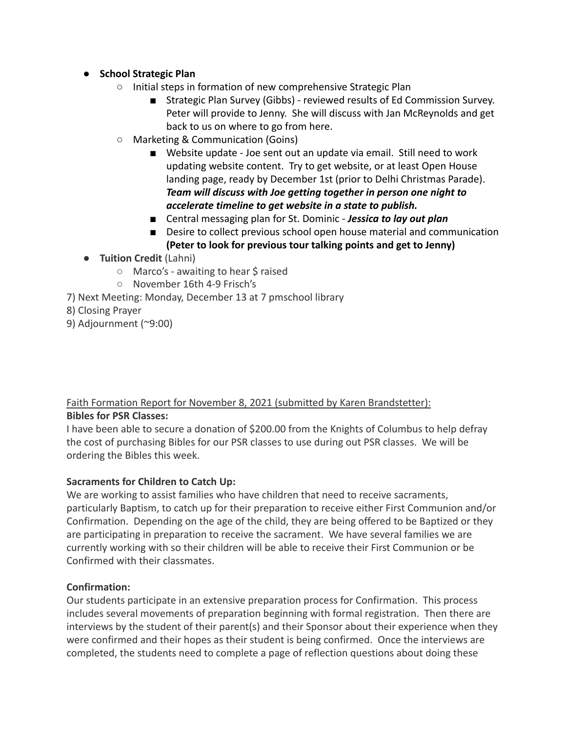- **School Strategic Plan**
	- Initial steps in formation of new comprehensive Strategic Plan
		- Strategic Plan Survey (Gibbs) reviewed results of Ed Commission Survey. Peter will provide to Jenny. She will discuss with Jan McReynolds and get back to us on where to go from here.
	- Marketing & Communication (Goins)
		- Website update Joe sent out an update via email. Still need to work updating website content. Try to get website, or at least Open House landing page, ready by December 1st (prior to Delhi Christmas Parade). *Team will discuss with Joe getting together in person one night to accelerate timeline to get website in a state to publish.*
		- Central messaging plan for St. Dominic *Jessica to lay out plan*
		- Desire to collect previous school open house material and communication **(Peter to look for previous tour talking points and get to Jenny)**
- **Tuition Credit** (Lahni)
	- Marco's awaiting to hear \$ raised
	- November 16th 4-9 Frisch's
- 7) Next Meeting: Monday, December 13 at 7 pmschool library
- 8) Closing Prayer
- 9) Adjournment (~9:00)

# Faith Formation Report for November 8, 2021 (submitted by Karen Brandstetter): **Bibles for PSR Classes:**

I have been able to secure a donation of \$200.00 from the Knights of Columbus to help defray the cost of purchasing Bibles for our PSR classes to use during out PSR classes. We will be ordering the Bibles this week.

# **Sacraments for Children to Catch Up:**

We are working to assist families who have children that need to receive sacraments, particularly Baptism, to catch up for their preparation to receive either First Communion and/or Confirmation. Depending on the age of the child, they are being offered to be Baptized or they are participating in preparation to receive the sacrament. We have several families we are currently working with so their children will be able to receive their First Communion or be Confirmed with their classmates.

# **Confirmation:**

Our students participate in an extensive preparation process for Confirmation. This process includes several movements of preparation beginning with formal registration. Then there are interviews by the student of their parent(s) and their Sponsor about their experience when they were confirmed and their hopes as their student is being confirmed. Once the interviews are completed, the students need to complete a page of reflection questions about doing these